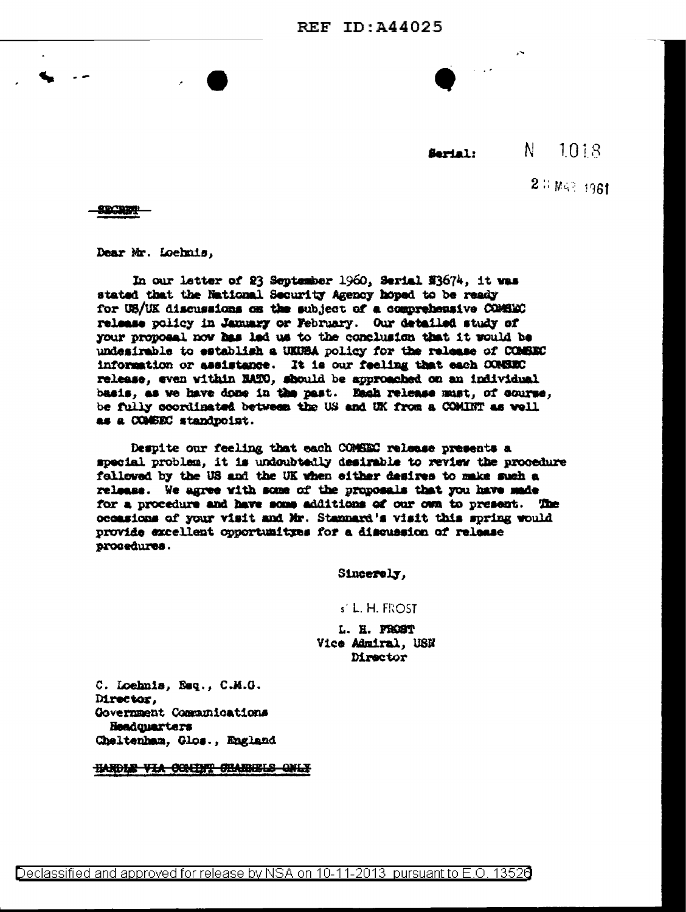$N$ 1018 Sarial:

 $2.3 W < 1961$ 

SECRET

Dear Mr. Loehnis,

In our latter of 23 September 1960, Serial N3674, it was stated that the National Security Agency hoped to be ready for UB/UK discussions on the subject of a comprehensive COMBEC release policy in January or February. Our detailed study of your proposal now has led us to the conclusion that it would be undesirable to establish a UKUBA policy for the release of COMBEC information or assistance. It is our feeling that each CONSEC release, even within NATO, should be approached on an individual basis, as we have done in the past. Each release must, of course, be fully coordinated between the US and UK from a COMINT as well as a COMBEC standpoint.

Despite our feeling that each COMSEC release presents a special problem, it is undoubtedly desirable to review the procedure followed by the US and the UK when either desires to make such a release. We agree with some of the proposals that you have made for a procedure and have some additions of our own to present. The occasions of your visit and Mr. Stannard's visit this spring would provide excellent opportunityes for a discussion of release procedures.

Sincerely,

## s' L. H. FROST

L. H. FROST Vice Admiral, USN Director

C. Loehnis, Esq., C.M.G. Director, Government Communications Headquarters Cheltenham, Glos., England

HARDLE VIA COMINT CHANNELS ONLY